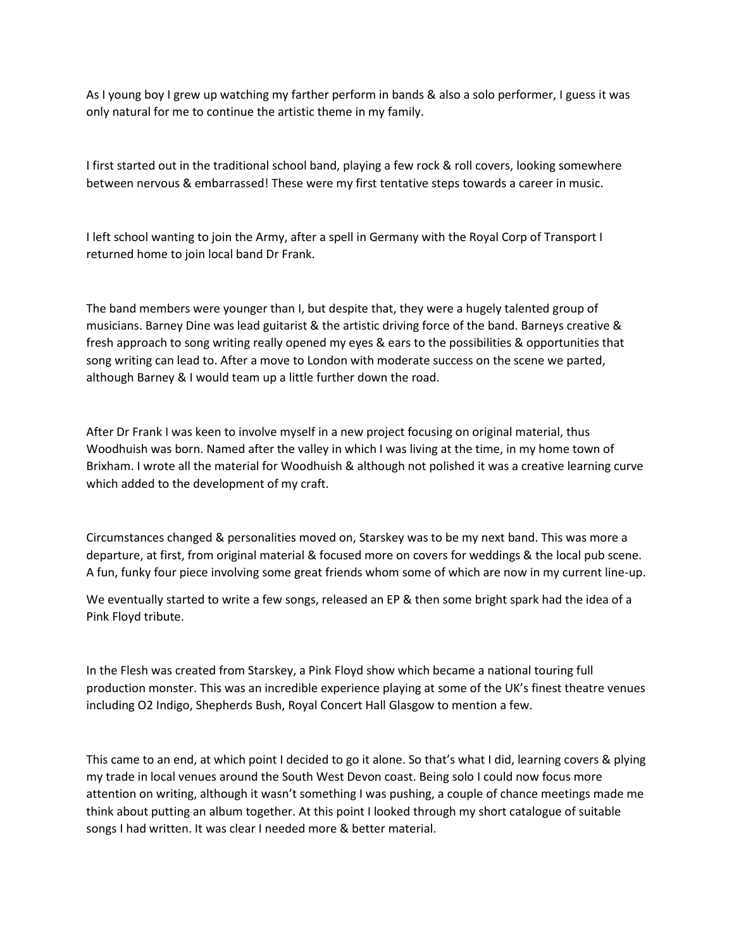As I young boy I grew up watching my farther perform in bands & also a solo performer, I guess it was only natural for me to continue the artistic theme in my family.

I first started out in the traditional school band, playing a few rock & roll covers, looking somewhere between nervous & embarrassed! These were my first tentative steps towards a career in music.

I left school wanting to join the Army, after a spell in Germany with the Royal Corp of Transport I returned home to join local band Dr Frank.

The band members were younger than I, but despite that, they were a hugely talented group of musicians. Barney Dine was lead guitarist & the artistic driving force of the band. Barneys creative & fresh approach to song writing really opened my eyes & ears to the possibilities & opportunities that song writing can lead to. After a move to London with moderate success on the scene we parted, although Barney & I would team up a little further down the road.

After Dr Frank I was keen to involve myself in a new project focusing on original material, thus Woodhuish was born. Named after the valley in which I was living at the time, in my home town of Brixham. I wrote all the material for Woodhuish & although not polished it was a creative learning curve which added to the development of my craft.

Circumstances changed & personalities moved on, Starskey was to be my next band. This was more a departure, at first, from original material & focused more on covers for weddings & the local pub scene. A fun, funky four piece involving some great friends whom some of which are now in my current line-up.

We eventually started to write a few songs, released an EP & then some bright spark had the idea of a Pink Floyd tribute.

In the Flesh was created from Starskey, a Pink Floyd show which became a national touring full production monster. This was an incredible experience playing at some of the UK's finest theatre venues including O2 Indigo, Shepherds Bush, Royal Concert Hall Glasgow to mention a few.

This came to an end, at which point I decided to go it alone. So that's what I did, learning covers & plying my trade in local venues around the South West Devon coast. Being solo I could now focus more attention on writing, although it wasn't something I was pushing, a couple of chance meetings made me think about putting an album together. At this point I looked through my short catalogue of suitable songs I had written. It was clear I needed more & better material.